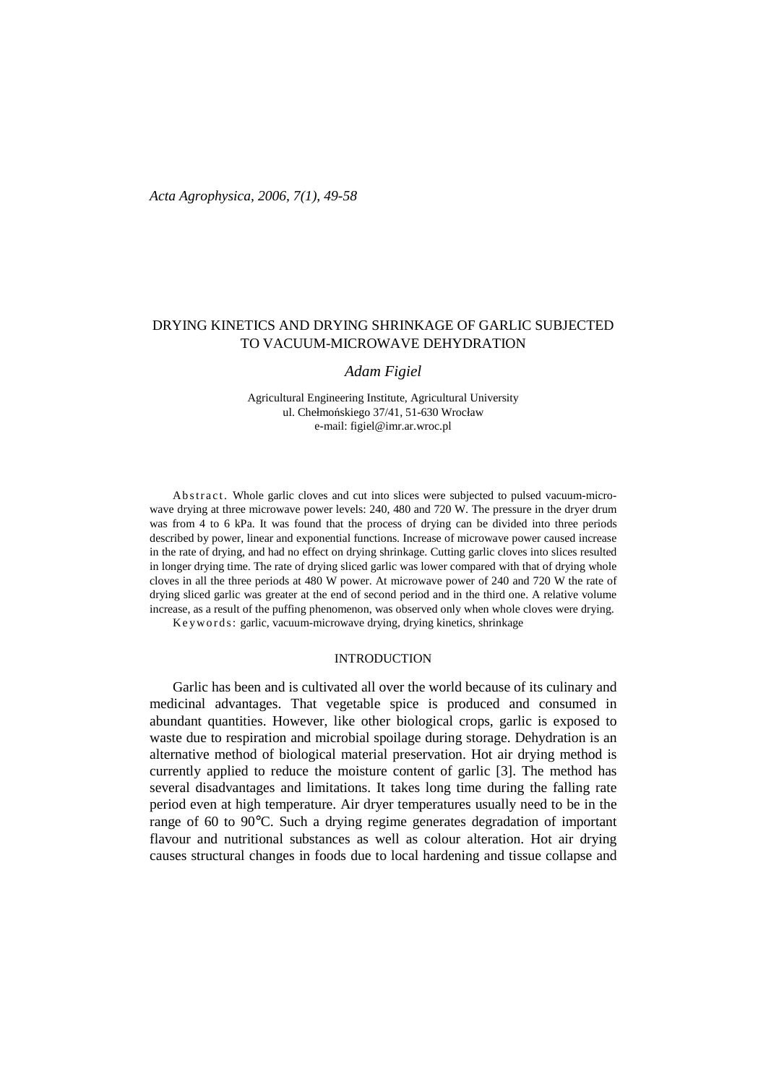# DRYING KINETICS AND DRYING SHRINKAGE OF GARLIC SUBJECTED TO VACUUM-MICROWAVE DEHYDRATION

## *Adam Figiel*

Agricultural Engineering Institute, Agricultural University ul. Chełmońskiego 37/41, 51-630 Wrocław e-mail: figiel@imr.ar.wroc.pl

Ab s tract. Whole garlic cloves and cut into slices were subjected to pulsed vacuum-microwave drying at three microwave power levels: 240, 480 and 720 W. The pressure in the dryer drum was from 4 to 6 kPa. It was found that the process of drying can be divided into three periods described by power, linear and exponential functions. Increase of microwave power caused increase in the rate of drying, and had no effect on drying shrinkage. Cutting garlic cloves into slices resulted in longer drying time. The rate of drying sliced garlic was lower compared with that of drying whole cloves in all the three periods at 480 W power. At microwave power of 240 and 720 W the rate of drying sliced garlic was greater at the end of second period and in the third one. A relative volume increase, as a result of the puffing phenomenon, was observed only when whole cloves were drying.

Keywords: garlic, vacuum-microwave drying, drying kinetics, shrinkage

#### INTRODUCTION

Garlic has been and is cultivated all over the world because of its culinary and medicinal advantages. That vegetable spice is produced and consumed in abundant quantities. However, like other biological crops, garlic is exposed to waste due to respiration and microbial spoilage during storage. Dehydration is an alternative method of biological material preservation. Hot air drying method is currently applied to reduce the moisture content of garlic [3]. The method has several disadvantages and limitations. It takes long time during the falling rate period even at high temperature. Air dryer temperatures usually need to be in the range of 60 to 90°C. Such a drying regime generates degradation of important flavour and nutritional substances as well as colour alteration. Hot air drying causes structural changes in foods due to local hardening and tissue collapse and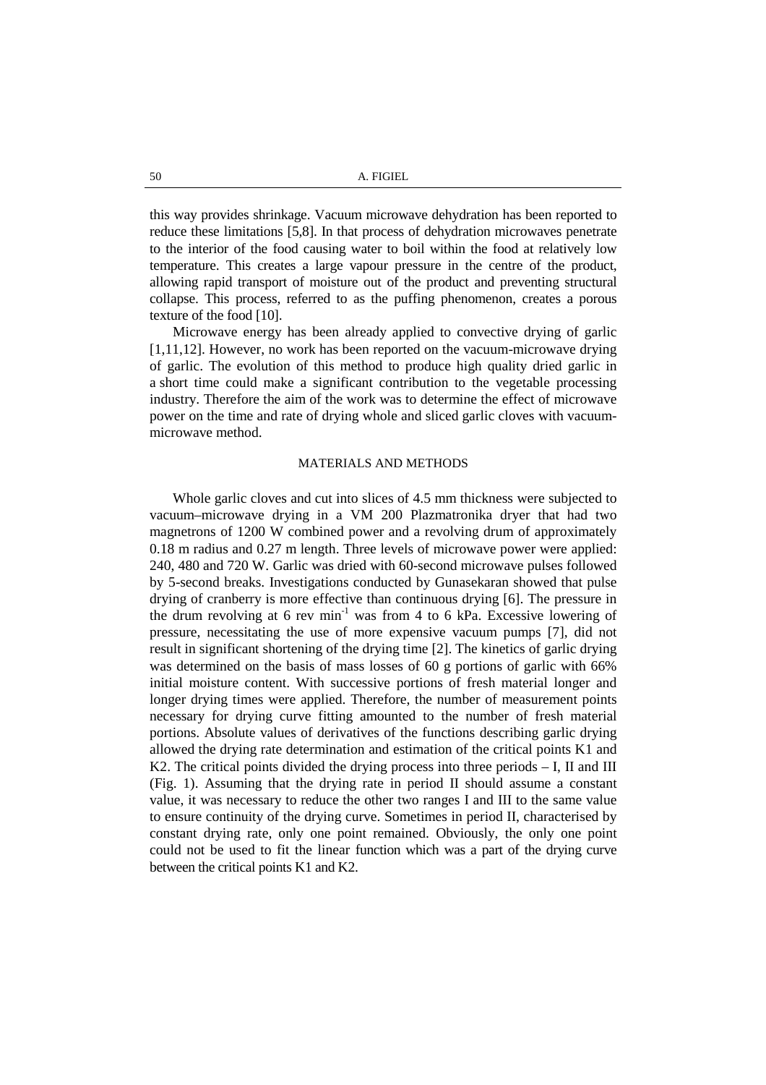this way provides shrinkage. Vacuum microwave dehydration has been reported to reduce these limitations [5,8]. In that process of dehydration microwaves penetrate to the interior of the food causing water to boil within the food at relatively low temperature. This creates a large vapour pressure in the centre of the product, allowing rapid transport of moisture out of the product and preventing structural collapse. This process, referred to as the puffing phenomenon, creates a porous texture of the food [10].

Microwave energy has been already applied to convective drying of garlic [1,11,12]. However, no work has been reported on the vacuum-microwave drying of garlic. The evolution of this method to produce high quality dried garlic in a short time could make a significant contribution to the vegetable processing industry. Therefore the aim of the work was to determine the effect of microwave power on the time and rate of drying whole and sliced garlic cloves with vacuummicrowave method.

### MATERIALS AND METHODS

Whole garlic cloves and cut into slices of 4.5 mm thickness were subjected to vacuum–microwave drying in a VM 200 Plazmatronika dryer that had two magnetrons of 1200 W combined power and a revolving drum of approximately 0.18 m radius and 0.27 m length. Three levels of microwave power were applied: 240, 480 and 720 W. Garlic was dried with 60-second microwave pulses followed by 5-second breaks. Investigations conducted by Gunasekaran showed that pulse drying of cranberry is more effective than continuous drying [6]. The pressure in the drum revolving at 6 rev min<sup>-1</sup> was from 4 to 6 kPa. Excessive lowering of pressure, necessitating the use of more expensive vacuum pumps [7], did not result in significant shortening of the drying time [2]. The kinetics of garlic drying was determined on the basis of mass losses of 60 g portions of garlic with 66% initial moisture content. With successive portions of fresh material longer and longer drying times were applied. Therefore, the number of measurement points necessary for drying curve fitting amounted to the number of fresh material portions. Absolute values of derivatives of the functions describing garlic drying allowed the drying rate determination and estimation of the critical points K1 and K2. The critical points divided the drying process into three periods – I, II and III (Fig. 1). Assuming that the drying rate in period II should assume a constant value, it was necessary to reduce the other two ranges I and III to the same value to ensure continuity of the drying curve. Sometimes in period II, characterised by constant drying rate, only one point remained. Obviously, the only one point could not be used to fit the linear function which was a part of the drying curve between the critical points K1 and K2.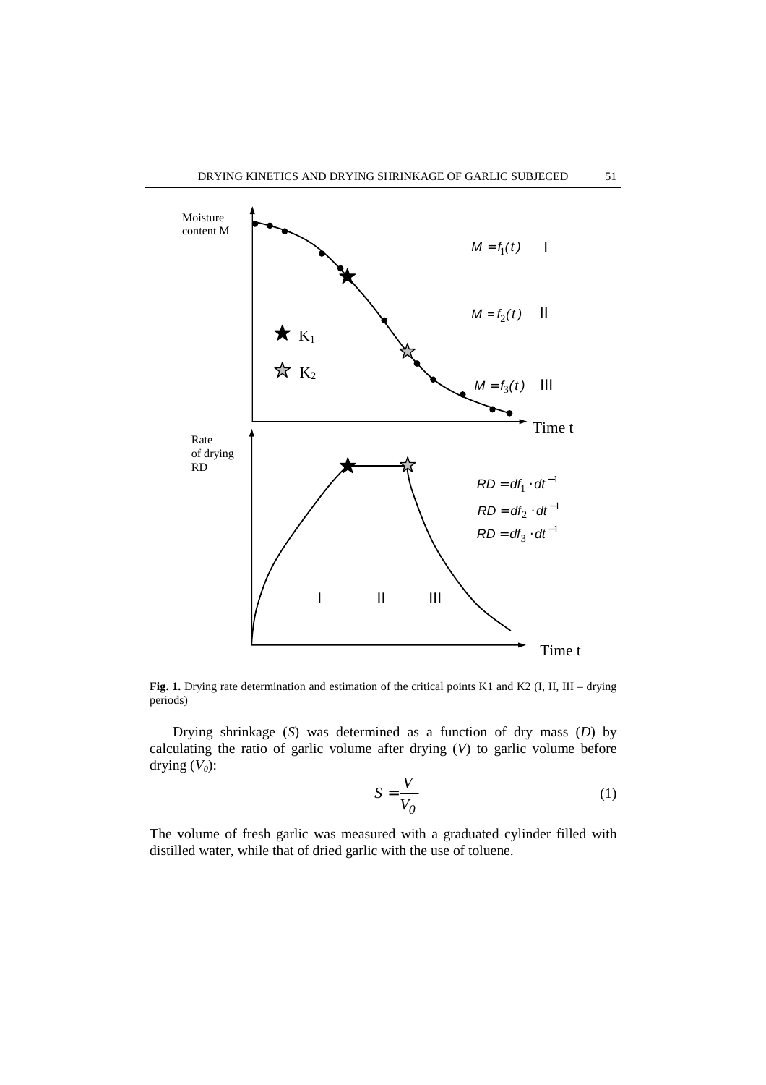

Fig. 1. Drying rate determination and estimation of the critical points K1 and K2 (I, II, III – drying periods)

Drying shrinkage (*S*) was determined as a function of dry mass (*D*) by calculating the ratio of garlic volume after drying (*V*) to garlic volume before drying  $(V_0)$ :

$$
S = \frac{V}{V_0} \tag{1}
$$

The volume of fresh garlic was measured with a graduated cylinder filled with distilled water, while that of dried garlic with the use of toluene.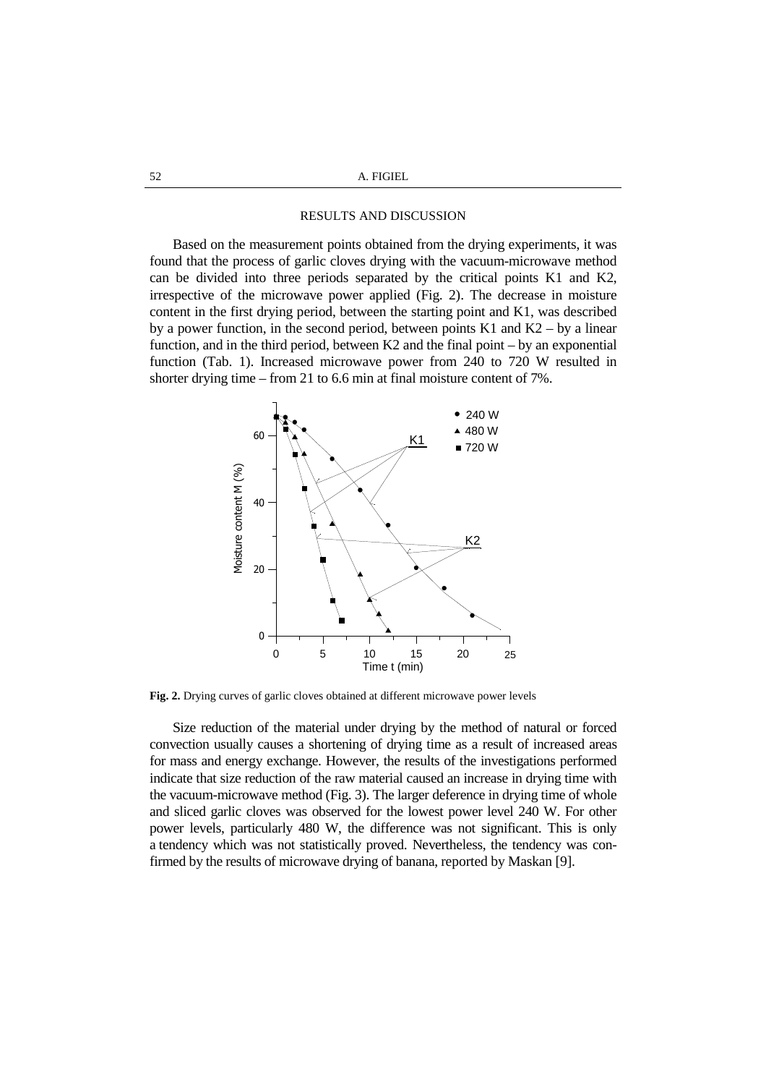52 A. FIGIEL

#### RESULTS AND DISCUSSION

Based on the measurement points obtained from the drying experiments, it was found that the process of garlic cloves drying with the vacuum-microwave method can be divided into three periods separated by the critical points K1 and K2, irrespective of the microwave power applied (Fig. 2). The decrease in moisture content in the first drying period, between the starting point and K1, was described by a power function, in the second period, between points  $K1$  and  $K2 - by$  a linear function, and in the third period, between K2 and the final point – by an exponential function (Tab. 1). Increased microwave power from 240 to 720 W resulted in shorter drying time – from 21 to 6.6 min at final moisture content of 7%.



**Fig. 2.** Drying curves of garlic cloves obtained at different microwave power levels

Size reduction of the material under drying by the method of natural or forced convection usually causes a shortening of drying time as a result of increased areas for mass and energy exchange. However, the results of the investigations performed indicate that size reduction of the raw material caused an increase in drying time with the vacuum-microwave method (Fig. 3). The larger deference in drying time of whole and sliced garlic cloves was observed for the lowest power level 240 W. For other power levels, particularly 480 W, the difference was not significant. This is only a tendency which was not statistically proved. Nevertheless, the tendency was confirmed by the results of microwave drying of banana, reported by Maskan [9].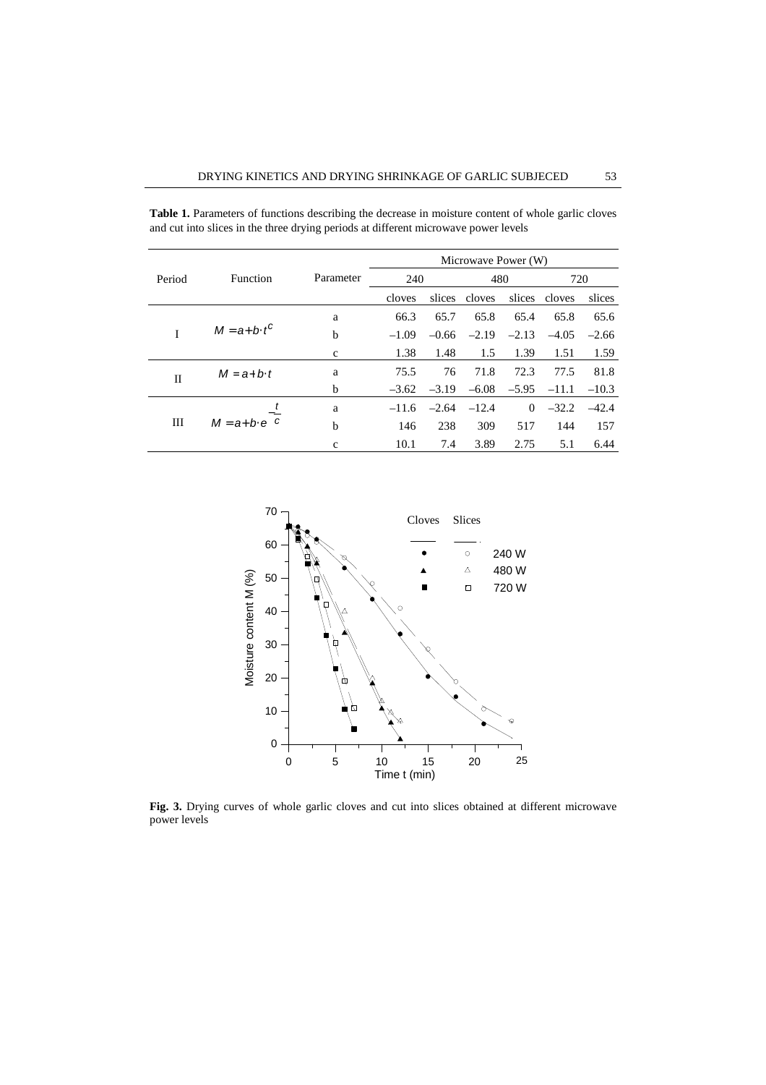|        | <b>Function</b>       | Parameter    | Microwave Power (W) |         |         |                |               |         |
|--------|-----------------------|--------------|---------------------|---------|---------|----------------|---------------|---------|
| Period |                       |              | 240                 |         | 480     |                | 720           |         |
|        |                       |              | cloves              | slices  | cloves  |                | slices cloves | slices  |
| I      | $M = a + b \cdot t^C$ | a            | 66.3                | 65.7    | 65.8    | 65.4           | 65.8          | 65.6    |
|        |                       | b            | $-1.09$             | $-0.66$ | $-2.19$ | $-2.13$        | $-4.05$       | $-2.66$ |
|        |                       | $\mathbf{C}$ | 1.38                | 1.48    | 1.5     | 1.39           | 1.51          | 1.59    |
| П      | $M = a + b \cdot t$   | a            | 75.5                | 76      | 71.8    | 72.3           | 77.5          | 81.8    |
|        |                       | b            | $-3.62$             | $-3.19$ | $-6.08$ | $-5.95$        | $-11.1$       | $-10.3$ |
| Ш      | $M = a + b e$         | a            | $-11.6$             | $-2.64$ | $-12.4$ | $\overline{0}$ | $-32.2$       | $-42.4$ |
|        |                       | b            | 146                 | 238     | 309     | 517            | 144           | 157     |
|        |                       | $\mathbf{C}$ | 10.1                | 7.4     | 3.89    | 2.75           | 5.1           | 6.44    |

**Table 1.** Parameters of functions describing the decrease in moisture content of whole garlic cloves and cut into slices in the three drying periods at different microwave power levels



**Fig. 3.** Drying curves of whole garlic cloves and cut into slices obtained at different microwave power levels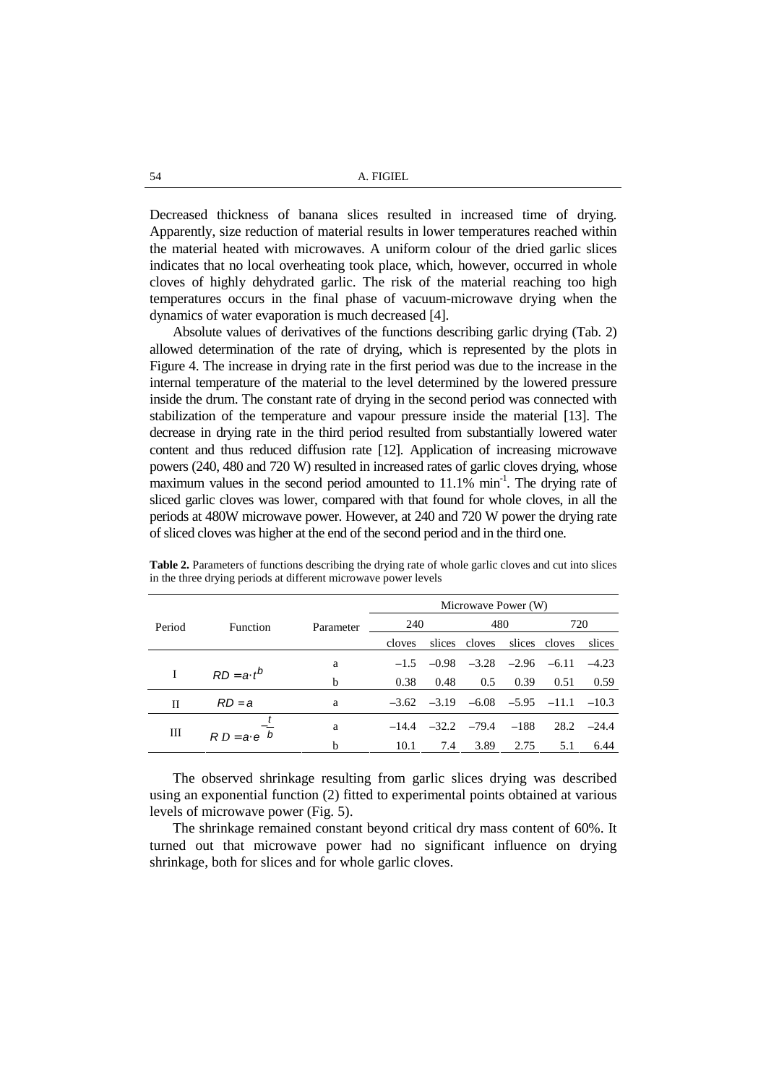Decreased thickness of banana slices resulted in increased time of drying. Apparently, size reduction of material results in lower temperatures reached within the material heated with microwaves. A uniform colour of the dried garlic slices indicates that no local overheating took place, which, however, occurred in whole cloves of highly dehydrated garlic. The risk of the material reaching too high temperatures occurs in the final phase of vacuum-microwave drying when the dynamics of water evaporation is much decreased [4].

Absolute values of derivatives of the functions describing garlic drying (Tab. 2) allowed determination of the rate of drying, which is represented by the plots in Figure 4. The increase in drying rate in the first period was due to the increase in the internal temperature of the material to the level determined by the lowered pressure inside the drum. The constant rate of drying in the second period was connected with stabilization of the temperature and vapour pressure inside the material [13]. The decrease in drying rate in the third period resulted from substantially lowered water content and thus reduced diffusion rate [12]. Application of increasing microwave powers (240, 480 and 720 W) resulted in increased rates of garlic cloves drying, whose maximum values in the second period amounted to  $11.1\%$  min<sup>-1</sup>. The drying rate of sliced garlic cloves was lower, compared with that found for whole cloves, in all the periods at 480W microwave power. However, at 240 and 720 W power the drying rate of sliced cloves was higher at the end of the second period and in the third one.

|        | <b>Function</b>    |           | Microwave Power (W) |      |                                                 |      |      |         |
|--------|--------------------|-----------|---------------------|------|-------------------------------------------------|------|------|---------|
| Period |                    | Parameter | 240                 |      | 480                                             |      | 720  |         |
|        |                    |           | cloves              |      | slices cloves slices cloves                     |      |      | slices  |
|        | $RD = a \cdot t^b$ | a         |                     |      | $-1.5$ $-0.98$ $-3.28$ $-2.96$ $-6.11$          |      |      | $-4.23$ |
|        |                    | b         | 0.38                | 0.48 | 0.5                                             | 0.39 | 0.51 | 0.59    |
| Н      | $RD = a$           | a         |                     |      | $-3.62$ $-3.19$ $-6.08$ $-5.95$ $-11.1$ $-10.3$ |      |      |         |
| Ш      | $RD = a e b$       | a         |                     |      | $-14.4$ $-32.2$ $-79.4$ $-188$                  |      | 28.2 | $-24.4$ |
|        |                    | b         | 10.1                | 7.4  | 3.89                                            | 2.75 | 5.1  | 6.44    |

**Table 2.** Parameters of functions describing the drying rate of whole garlic cloves and cut into slices in the three drying periods at different microwave power levels

The observed shrinkage resulting from garlic slices drying was described using an exponential function (2) fitted to experimental points obtained at various levels of microwave power (Fig. 5).

The shrinkage remained constant beyond critical dry mass content of 60%. It turned out that microwave power had no significant influence on drying shrinkage, both for slices and for whole garlic cloves.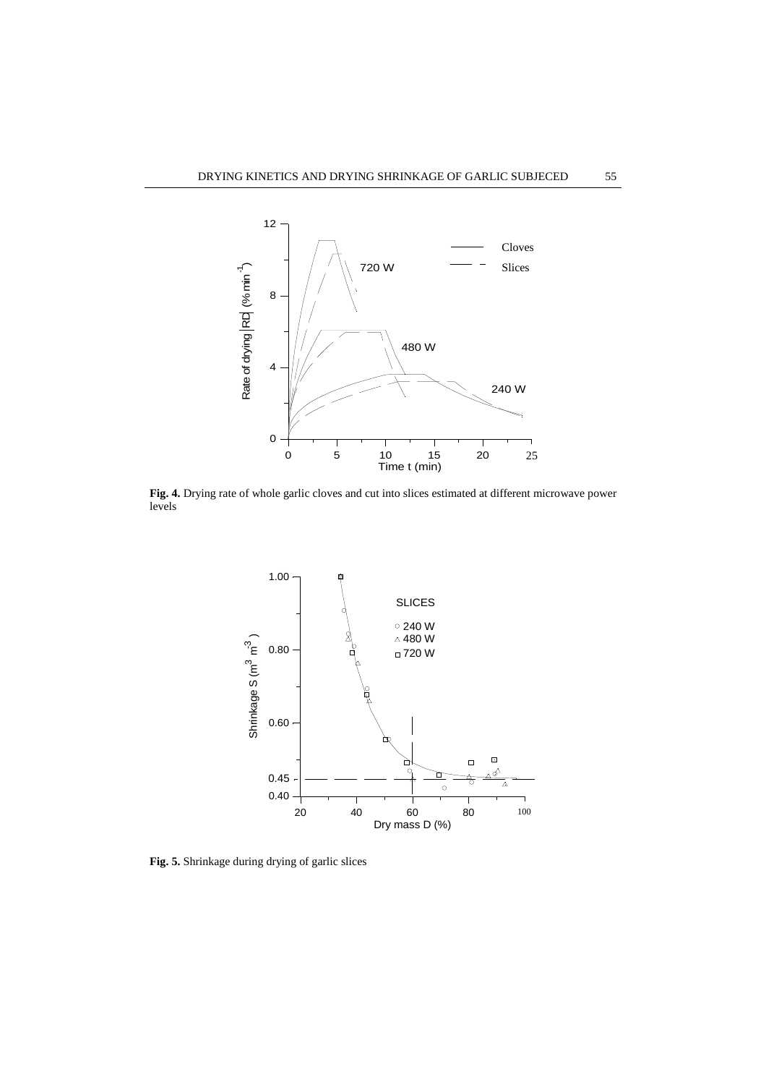

**Fig. 4.** Drying rate of whole garlic cloves and cut into slices estimated at different microwave power levels



**Fig. 5.** Shrinkage during drying of garlic slices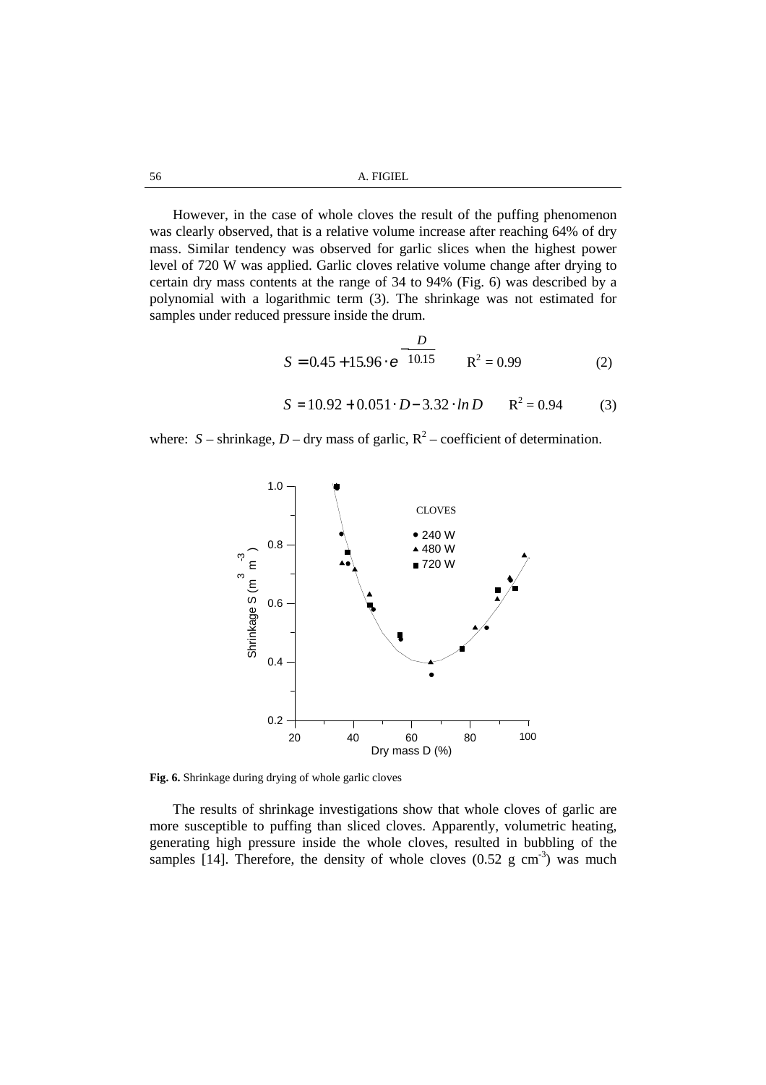However, in the case of whole cloves the result of the puffing phenomenon was clearly observed, that is a relative volume increase after reaching 64% of dry mass. Similar tendency was observed for garlic slices when the highest power level of 720 W was applied. Garlic cloves relative volume change after drying to certain dry mass contents at the range of 34 to 94% (Fig. 6) was described by a polynomial with a logarithmic term (3). The shrinkage was not estimated for samples under reduced pressure inside the drum.

$$
S = 0.45 + 15.96 \cdot e^{-\frac{D}{10.15}} \qquad R^2 = 0.99
$$
 (2)

$$
S = 10.92 + 0.051 \cdot D - 3.32 \cdot ln D \qquad R^2 = 0.94 \tag{3}
$$

where:  $S$  – shrinkage,  $D$  – dry mass of garlic,  $R^2$  – coefficient of determination.



**Fig. 6.** Shrinkage during drying of whole garlic cloves

The results of shrinkage investigations show that whole cloves of garlic are more susceptible to puffing than sliced cloves. Apparently, volumetric heating, generating high pressure inside the whole cloves, resulted in bubbling of the samples [14]. Therefore, the density of whole cloves  $(0.52 \text{ g cm}^3)$  was much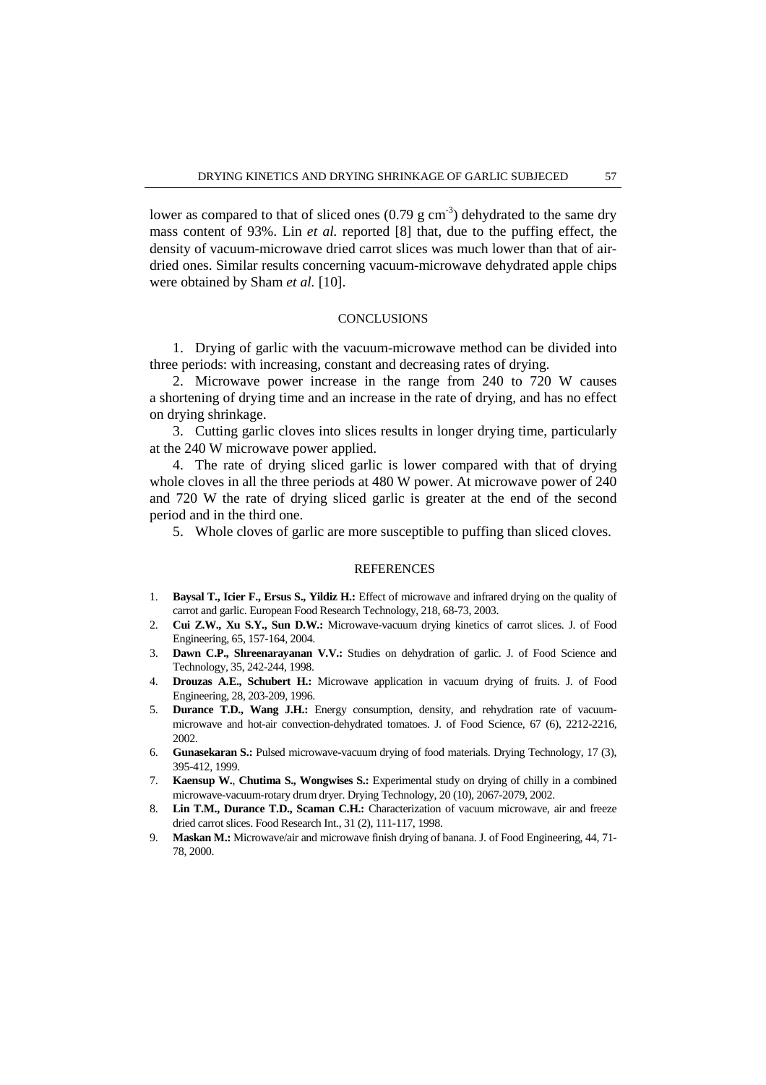lower as compared to that of sliced ones  $(0.79 \text{ g cm}^3)$  dehydrated to the same dry mass content of 93%. Lin *et al.* reported [8] that, due to the puffing effect, the density of vacuum-microwave dried carrot slices was much lower than that of airdried ones. Similar results concerning vacuum-microwave dehydrated apple chips were obtained by Sham *et al.* [10].

### **CONCLUSIONS**

1. Drying of garlic with the vacuum-microwave method can be divided into three periods: with increasing, constant and decreasing rates of drying.

2. Microwave power increase in the range from 240 to 720 W causes a shortening of drying time and an increase in the rate of drying, and has no effect on drying shrinkage.

3. Cutting garlic cloves into slices results in longer drying time, particularly at the 240 W microwave power applied.

4. The rate of drying sliced garlic is lower compared with that of drying whole cloves in all the three periods at 480 W power. At microwave power of 240 and 720 W the rate of drying sliced garlic is greater at the end of the second period and in the third one.

5. Whole cloves of garlic are more susceptible to puffing than sliced cloves.

#### REFERENCES

- 1. **Baysal T., Icier F., Ersus S., Yildiz H.:** Effect of microwave and infrared drying on the quality of carrot and garlic. European Food Research Technology, 218, 68-73, 2003.
- 2. **Cui Z.W., Xu S.Y., Sun D.W.:** Microwave-vacuum drying kinetics of carrot slices. J. of Food Engineering, 65, 157-164, 2004.
- 3. **Dawn C.P., Shreenarayanan V.V.:** Studies on dehydration of garlic. J. of Food Science and Technology, 35, 242-244, 1998.
- 4. **Drouzas A.E., Schubert H.:** Microwave application in vacuum drying of fruits. J. of Food Engineering, 28, 203-209, 1996.
- 5. **Durance T.D., Wang J.H.:** Energy consumption, density, and rehydration rate of vacuummicrowave and hot-air convection-dehydrated tomatoes. J. of Food Science, 67 (6), 2212-2216, 2002.
- 6. **Gunasekaran S.:** Pulsed microwave-vacuum drying of food materials. Drying Technology, 17 (3), 395-412, 1999.
- 7. **Kaensup W.**, **Chutima S., Wongwises S.:** Experimental study on drying of chilly in a combined microwave-vacuum-rotary drum dryer. Drying Technology, 20 (10), 2067-2079, 2002.
- 8. **Lin T.M., Durance T.D., Scaman C.H.:** Characterization of vacuum microwave, air and freeze dried carrot slices. Food Research Int., 31 (2), 111-117, 1998.
- 9. **Maskan M.:** Microwave/air and microwave finish drying of banana. J. of Food Engineering, 44, 71- 78, 2000.